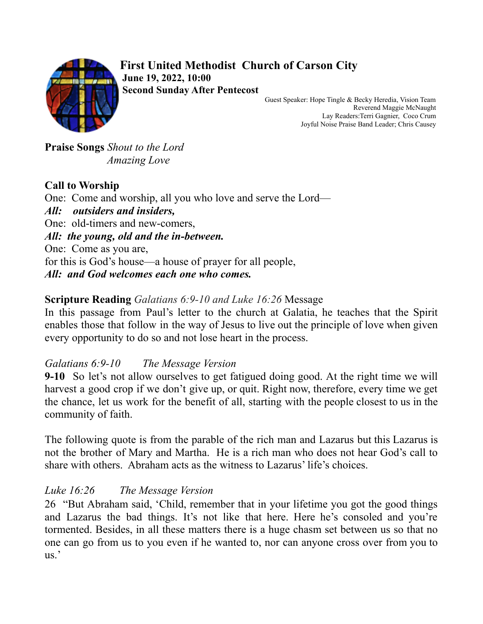

**First United Methodist Church of Carson City June 19, 2022, 10:00 Second Sunday After Pentecost**

Guest Speaker: Hope Tingle & Becky Heredia, Vision Team Reverend Maggie McNaught Lay Readers:Terri Gagnier, Coco Crum Joyful Noise Praise Band Leader; Chris Causey

**Praise Songs** *Shout to the Lord Amazing Love*

## **Call to Worship**

One: Come and worship, all you who love and serve the Lord— *All: outsiders and insiders,* One: old-timers and new-comers, *All: the young, old and the in-between.* One: Come as you are, for this is God's house—a house of prayer for all people, *All: and God welcomes each one who comes.*

### **Scripture Reading** *Galatians 6:9-10 and Luke 16:26* Message

In this passage from Paul's letter to the church at Galatia, he teaches that the Spirit enables those that follow in the way of Jesus to live out the principle of love when given every opportunity to do so and not lose heart in the process.

### *Galatians 6:9-10 The Message Version*

**9-10** So let's not allow ourselves to get fatigued doing good. At the right time we will harvest a good crop if we don't give up, or quit. Right now, therefore, every time we get the chance, let us work for the benefit of all, starting with the people closest to us in the community of faith.

The following quote is from the parable of the rich man and Lazarus but this Lazarus is not the brother of Mary and Martha. He is a rich man who does not hear God's call to share with others. Abraham acts as the witness to Lazarus' life's choices.

# *Luke 16:26 The Message Version*

26 "But Abraham said, 'Child, remember that in your lifetime you got the good things and Lazarus the bad things. It's not like that here. Here he's consoled and you're tormented. Besides, in all these matters there is a huge chasm set between us so that no one can go from us to you even if he wanted to, nor can anyone cross over from you to us.'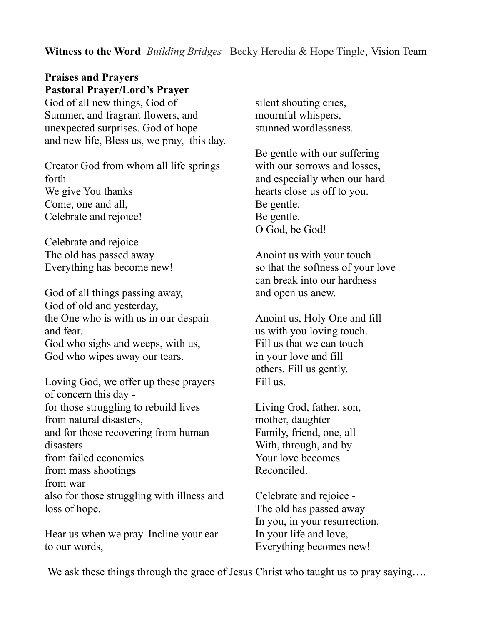#### **Witness to the Word** *Building Bridges* Becky Heredia & Hope Tingle, Vision Team

## **Praises and Prayers Pastoral Prayer/Lord's Prayer**

God of all new things, God of Summer, and fragrant flowers, and unexpected surprises. God of hope and new life, Bless us, we pray, this day.

Creator God from whom all life springs forth We give You thanks Come, one and all, Celebrate and rejoice!

Celebrate and rejoice - The old has passed away Everything has become new!

God of all things passing away, God of old and yesterday, the One who is with us in our despair and fear. God who sighs and weeps, with us, God who wipes away our tears.

Loving God, we offer up these prayers of concern this day for those struggling to rebuild lives from natural disasters, and for those recovering from human disasters from failed economies from mass shootings from war also for those struggling with illness and loss of hope.

Hear us when we pray. Incline your ear to our words,

silent shouting cries, mournful whispers, stunned wordlessness.

Be gentle with our suffering with our sorrows and losses. and especially when our hard hearts close us off to you. Be gentle. Be gentle. O God, be God!

Anoint us with your touch so that the softness of your love can break into our hardness and open us anew.

Anoint us, Holy One and fill us with you loving touch. Fill us that we can touch in your love and fill others. Fill us gently. Fill us.

Living God, father, son, mother, daughter Family, friend, one, all With, through, and by Your love becomes Reconciled.

Celebrate and rejoice - The old has passed away In you, in your resurrection, In your life and love, Everything becomes new!

We ask these things through the grace of Jesus Christ who taught us to pray saying....